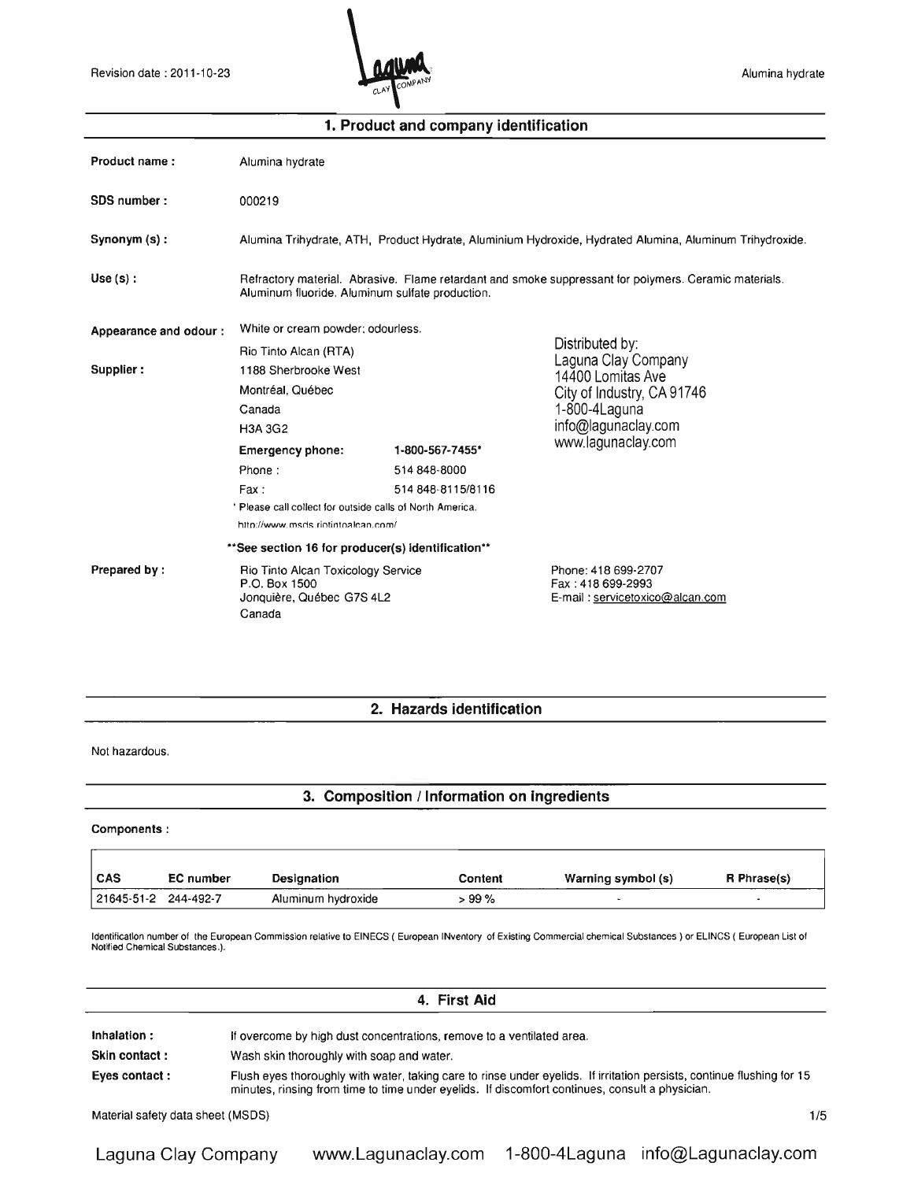

| Product name:         | Alumina hydrate                                                                                                                                          |                   |                                                                             |  |  |
|-----------------------|----------------------------------------------------------------------------------------------------------------------------------------------------------|-------------------|-----------------------------------------------------------------------------|--|--|
| SDS number:           | 000219                                                                                                                                                   |                   |                                                                             |  |  |
| Synonym (s):          | Alumina Trihydrate, ATH, Product Hydrate, Aluminium Hydroxide, Hydrated Alumina, Aluminum Trihydroxide.                                                  |                   |                                                                             |  |  |
| Use(s):               | Refractory material. Abrasive. Flame retardant and smoke suppressant for polymers. Ceramic materials.<br>Aluminum fluoride. Aluminum sulfate production. |                   |                                                                             |  |  |
| Appearance and odour: | White or cream powder: odourless.                                                                                                                        |                   |                                                                             |  |  |
|                       | Rio Tinto Alcan (RTA)                                                                                                                                    |                   | Distributed by:                                                             |  |  |
| Supplier:             | 1188 Sherbrooke West                                                                                                                                     |                   | Laguna Clay Company<br>14400 Lomitas Ave                                    |  |  |
|                       | Montréal, Québec                                                                                                                                         |                   | City of Industry, CA 91746                                                  |  |  |
|                       | Canada                                                                                                                                                   |                   | 1-800-4Laguna                                                               |  |  |
|                       | <b>H3A 3G2</b>                                                                                                                                           |                   | info@lagunaclay.com                                                         |  |  |
|                       | <b>Emergency phone:</b>                                                                                                                                  | 1-800-567-7455*   | www.lagunaclay.com                                                          |  |  |
|                       | Phone:                                                                                                                                                   | 514 848-8000      |                                                                             |  |  |
|                       | Fax:                                                                                                                                                     | 514 848-8115/8116 |                                                                             |  |  |
|                       | ' Please call collect for outside calls of North America.                                                                                                |                   |                                                                             |  |  |
|                       | http://www.msds.riotintoalcan.com/                                                                                                                       |                   |                                                                             |  |  |
|                       | ** See section 16 for producer(s) identification**                                                                                                       |                   |                                                                             |  |  |
| Prepared by:          | Rio Tinto Alcan Toxicology Service<br>P.O. Box 1500<br>Jonquière, Québec G7S 4L2<br>Canada                                                               |                   | Phone: 418 699-2707<br>Fax: 418 699-2993<br>E-mail: servicetoxico@alcan.com |  |  |

## 1. Product and company identification

2. Hazards identification

#### Not hazardous.

## 3. Composition / Information on ingredients

## Components:

| <b>CAS</b>           | <b>EC</b> number | Designation        | <b>Content</b> | Warning symbol (s) | R Phrase(s) |
|----------------------|------------------|--------------------|----------------|--------------------|-------------|
| 21645-51-2 244-492-7 |                  | Aluminum hydroxide | > 99 %         |                    |             |

Identification number of the European Commission relative to EINECS ( European INventory of Existing Commercial chemical Substances) or ELiNCS ( European List of Notijied Chemical SUbstances.).

| 4. First Aid  |                                                                                                                                                                                                                           |  |  |  |
|---------------|---------------------------------------------------------------------------------------------------------------------------------------------------------------------------------------------------------------------------|--|--|--|
| Inhalation:   | If overcome by high dust concentrations, remove to a ventilated area.                                                                                                                                                     |  |  |  |
| Skin contact: | Wash skin thoroughly with soap and water.                                                                                                                                                                                 |  |  |  |
| Eyes contact: | Flush eyes thoroughly with water, taking care to rinse under eyelids. If irritation persists, continue flushing for 15<br>minutes, rinsing from time to time under eyelids. If discomfort continues, consult a physician. |  |  |  |

Material safety data sheet (MSDS) 1/5

Laguna Clay Company www.Lagunaclay.com 1-800-4Laguna info@Lagunaclay.com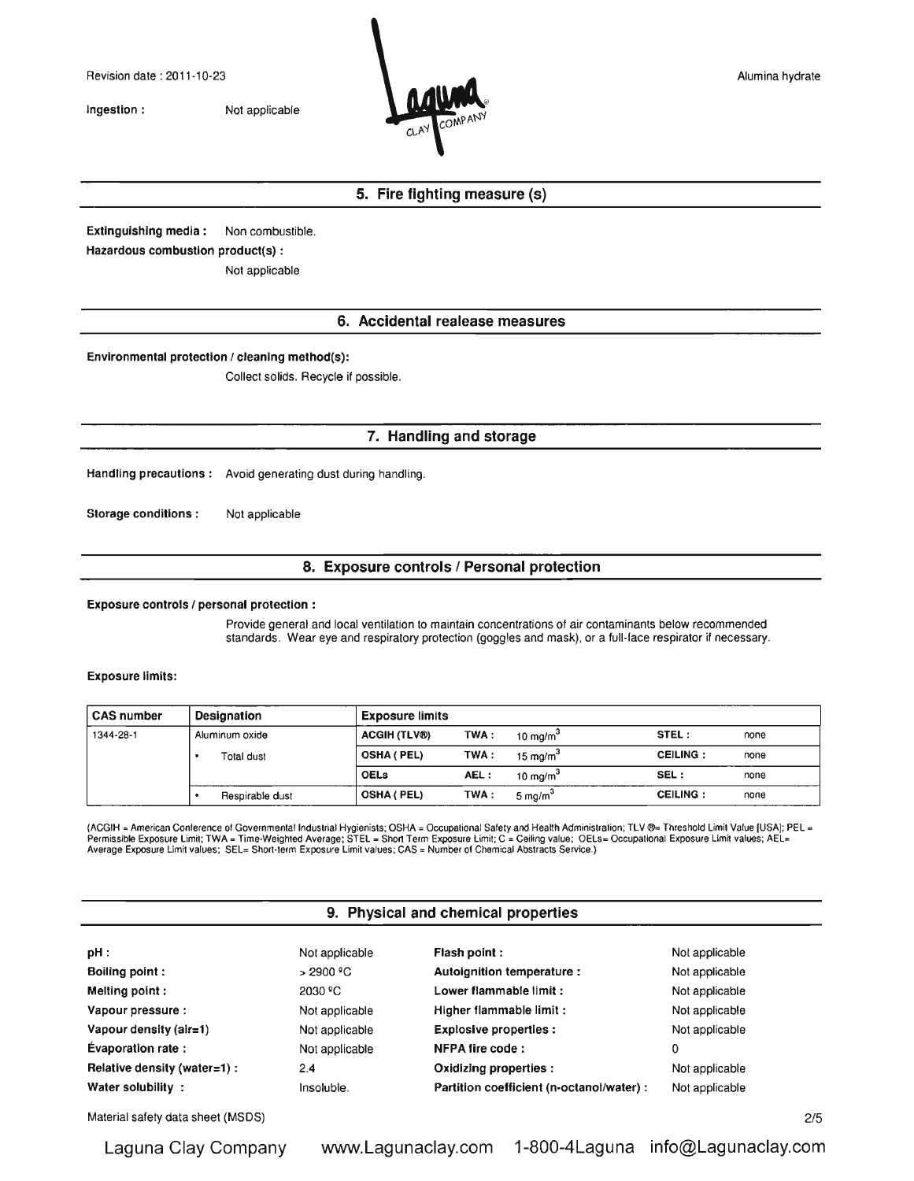Ingestion : Not applicable



*2/5*

## 5. Fire fighting measure (s)

Extinguishing media: Non combustible. Hazardous combustion product(s) :

Not applicable

## 6. Accidental realease measures

Environmental protection / cleaning method(s):

Collect solids. Recycle if possible.

## 7. Handling and storage

Handling precautions: Avoid generating dust during handling.

Storage conditions : Not applicable

## 8. Exposure controls / Personal protection

Exposure controls / personal protection:

Provide general and local ventilation to maintain concentrations of air contaminants below recommended standards. Wear eye and respiratory protection (goggles and mask), or a full-face respirator if necessary.

Exposure limits:

| <b>CAS number</b> | <b>Designation</b> | <b>Exposure limits</b> |      |            |                 |      |
|-------------------|--------------------|------------------------|------|------------|-----------------|------|
| 1344-28-1         | Aluminum oxide     | <b>ACGIH (TLV®)</b>    | TWA: | 10 $ma/m3$ | STEL:           | none |
|                   | <b>Total dust</b>  | <b>OSHA (PEL)</b>      | TWA: | 15 $ma/m3$ | <b>CEILING:</b> | none |
|                   |                    | <b>OELs</b>            | AEL: | 10 $ma/m3$ | SEL:            | none |
|                   | Respirable dust    | OSHA ( PEL)            | TWA: | 5 $ma/m3$  | <b>CEILING:</b> | none |

(ACGIH = American Conference of Governmental Industrial Hygienists; OSHA = Occupational Safety and Health Administration; TLV ®= Threshold Limit Value [USA]; PEL -<br>Permissible Exposure Limit; TWA = Time-Weighted Average; Average Exposure Limit values; SEL= Short·term Exposure Limit values; CAS = Number of Chemical Abstracts Service.)

### 9. Physical and chemical properties

| pH:                          | Not applicable | Flash point:                              | Not applicable |
|------------------------------|----------------|-------------------------------------------|----------------|
| <b>Boiling point:</b>        | >2900 °C       | Autoignition temperature :                | Not applicable |
| Melting point:               | 2030 °C        | Lower flammable limit:                    | Not applicable |
| Vapour pressure :            | Not applicable | Higher flammable limit:                   | Not applicable |
| Vapour density (air=1)       | Not applicable | <b>Explosive properties:</b>              | Not applicable |
| <b>Evaporation rate:</b>     | Not applicable | NFPA fire code:                           | 0              |
| Relative density (water=1) : | 2.4            | Oxidizing properties :                    | Not applicable |
| Water solubility:            | Insoluble.     | Partition coefficient (n-octanol/water) : | Not applicable |

Material safety data sheet (MSDS)

Laguna Clay Company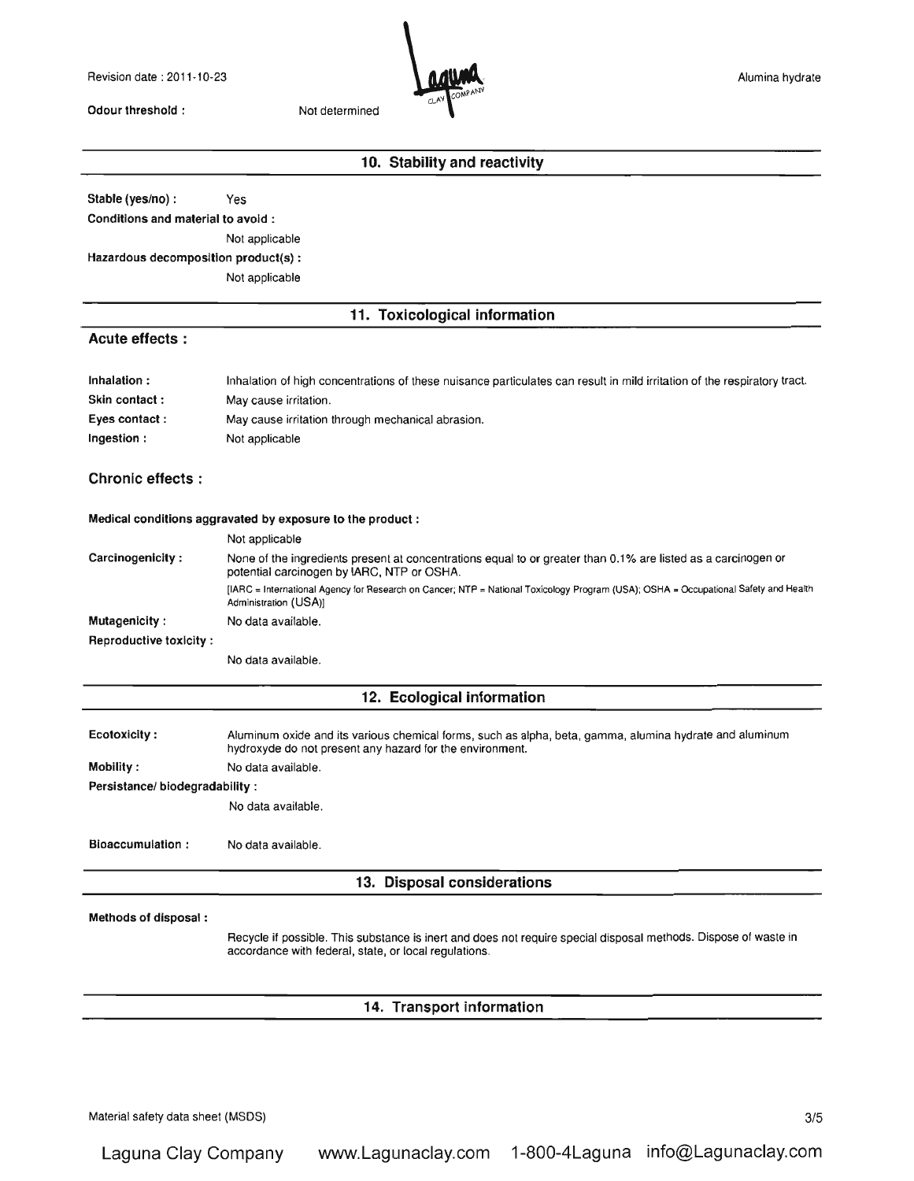Revision date: 2011-10-23

Odour threshold: Not determined



# **10. Stability and reactivity**

Stable (yes/no) : Yes

Conditions and material to avoid:

Not applicable

Hazardous decomposition product(s) :

Not applicable

### **11. Toxicological information**

## **Acute effects :**

| Inhalation:   | Inhalation of high concentrations of these nuisance particulates can result in mild irritation of the respiratory tract. |
|---------------|--------------------------------------------------------------------------------------------------------------------------|
| Skin contact: | May cause irritation.                                                                                                    |
| Eyes contact: | May cause irritation through mechanical abrasion.                                                                        |
| Ingestion:    | Not applicable                                                                                                           |

## **Chronic effects:**

#### Medical conditions aggravated by exposure to the product:

|                        | Not applicable                                                                                                                                               |  |  |
|------------------------|--------------------------------------------------------------------------------------------------------------------------------------------------------------|--|--|
| Carcinogenicity:       | None of the ingredients present at concentrations equal to or greater than 0.1% are listed as a carcinogen or<br>potential carcinogen by IARC, NTP or OSHA.  |  |  |
|                        | [IARC = International Agency for Research on Cancer; NTP = National Toxicology Program (USA); OSHA = Occupational Safety and Health<br>Administration (USA)] |  |  |
| Mutagenicity:          | No data available.                                                                                                                                           |  |  |
| Reproductive toxicity: |                                                                                                                                                              |  |  |
|                        |                                                                                                                                                              |  |  |

No data available.

### **12. Ecological information**

Ecotoxiclty: Aluminum oxide and its various chemical forms, such as alpha, beta, gamma, alumina hydrate and aluminum hydroxyde do not present any hazard for the environment.

Mobility: No data available.

Persistance/ biodegradability:

No data available.

Bioaccumulation : No data available.

### **13. Disposal considerations**

#### Methods of disposal:

Recycle if possible. This substance is inert and does not require special disposal methods. Dispose of waste in accordance wilh federal, state, or local regulations.

### **14. Transport information**

Material safety data sheet (MSDS) 3/5

Laguna Clay Company www.Lagunaclay.com 1-800-4Laguna info@Lagunaclay.com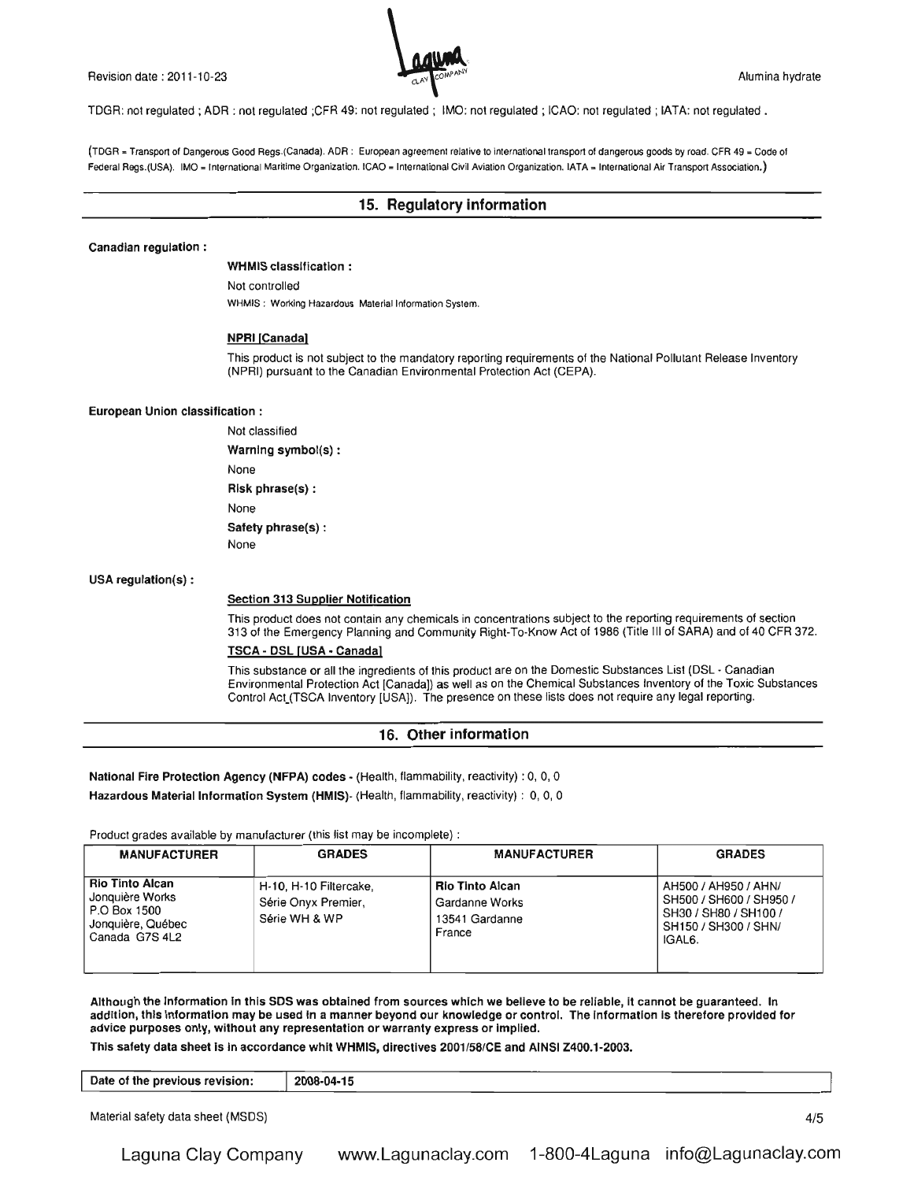Revision date: 2011-10-23 Alumina hydrate and the state of the state of the state of the state of the state of the state of the state of the state of the state of the state of the state of the state of the state of the sta



TDGR: not regulated; ADR : not regulated ;CFR 49: not regulated; IMO: not regulated; ICAO: not regulated; lATA: not regulated.

(TDGR • Transport of Dangerous Good Regs.(Canada). ADR: European agreement relative to international transport of dangerous goods by road. CFR 49 = Code of Federal Regs.(USA). IMO = International Maritime Organization. ICAO = International Civil Aviation Organization. IATA = International Air Transport Association.)

### 15. Regulatory information

#### Canadian regulation:

WHMIS classification:

Not controlled WHMIS: Working Hazardous Material Information System.

#### **NPRI [Canada]**

This product is not subject to the mandatory reporting requirements of the National Pollutant Release Inventory (NPRI) pursuant to the Canadian Environmental Protection Act (CEPA).

#### European Union classification:

Not classified Warning symbol(s) : None Risk phrase(s) : None Safety phrase(s) : None

USA regulation(s) :

#### **Section 313 Supplier Notification**

This product does not contain any chemicals in concentrations subject to the reporting requirements of section 313 of the Emergency Planning and Community Right-To-Know Act of t986 (Title III of SARA) and of 40 CFR 372.

### TSCA· DSL [USA· Canada!

This substance or all the ingredients of this product are on the Domestic Substances List (DSL - Canadian Environmental Protection Act [Canada]) as well as on the Chemical Substances Inventory of the Toxic Substances Control Act (TSCA Inventory [USA]). The presence on these lists does not require any legal reporting.

### 16. Other information

National Fire Protection Agency (NFPA) codes - (Health, flammability, reactivity) : 0, 0, 0

Hazardous Material Information System (HMIS)- (Health, flammability, reactivity) : 0, 0, 0

Product grades available by manufacturer (this list may be incomplete) :

| <b>MANUFACTURER</b>                                                                              | <b>GRADES</b>                                                  | <b>MANUFACTURER</b>                                                  | <b>GRADES</b>                                                                                                           |
|--------------------------------------------------------------------------------------------------|----------------------------------------------------------------|----------------------------------------------------------------------|-------------------------------------------------------------------------------------------------------------------------|
| <b>Rio Tinto Alcan</b><br>Jonquière Works<br>P.O Box 1500<br>Jonquière, Québec<br>Canada G7S 4L2 | H-10, H-10 Filtercake.<br>Série Onyx Premier,<br>Série WH & WP | <b>Rio Tinto Alcan</b><br>Gardanne Works<br>13541 Gardanne<br>France | AH500 / AH950 / AHN/<br>SH500 / SH600 / SH950 /<br>SH30 / SH80 / SH100 /<br>SH150 / SH300 / SHN/<br>IGAL <sub>6</sub> . |

Although the Information In this SOS was obtained from sources which we believe to be reliable, It cannot be guaranteed. In addition, this Information may be used In a manner beyond our knowledge or control. The Information Is therefore provided for advice purposes only, without any representation or warranty express or Implied.

This safety data sheet is in accordance whit WHMIS, directives 2001/58/CE and AINSI Z400.1-2003.

| Date of the previous revision: | 2008-04-15 |  |
|--------------------------------|------------|--|
|                                |            |  |

Material safety data sheet (MSDS)

4/5